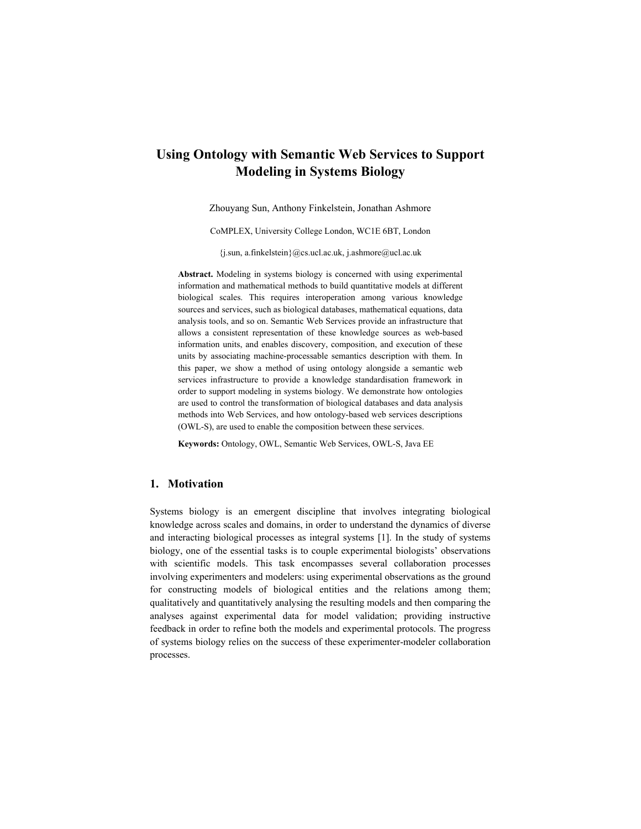Zhouyang Sun, Anthony Finkelstein, Jonathan Ashmore

CoMPLEX, University College London, WC1E 6BT, London

{j.sun, a.finkelstein}@cs.ucl.ac.uk, j.ashmore@ucl.ac.uk

**Abstract.** Modeling in systems biology is concerned with using experimental information and mathematical methods to build quantitative models at different biological scales. This requires interoperation among various knowledge sources and services, such as biological databases, mathematical equations, data analysis tools, and so on. Semantic Web Services provide an infrastructure that allows a consistent representation of these knowledge sources as web-based information units, and enables discovery, composition, and execution of these units by associating machine-processable semantics description with them. In this paper, we show a method of using ontology alongside a semantic web services infrastructure to provide a knowledge standardisation framework in order to support modeling in systems biology. We demonstrate how ontologies are used to control the transformation of biological databases and data analysis methods into Web Services, and how ontology-based web services descriptions (OWL-S), are used to enable the composition between these services.

**Keywords:** Ontology, OWL, Semantic Web Services, OWL-S, Java EE

## **1. Motivation**

Systems biology is an emergent discipline that involves integrating biological knowledge across scales and domains, in order to understand the dynamics of diverse and interacting biological processes as integral systems [1]. In the study of systems biology, one of the essential tasks is to couple experimental biologists' observations with scientific models. This task encompasses several collaboration processes involving experimenters and modelers: using experimental observations as the ground for constructing models of biological entities and the relations among them; qualitatively and quantitatively analysing the resulting models and then comparing the analyses against experimental data for model validation; providing instructive feedback in order to refine both the models and experimental protocols. The progress of systems biology relies on the success of these experimenter-modeler collaboration processes.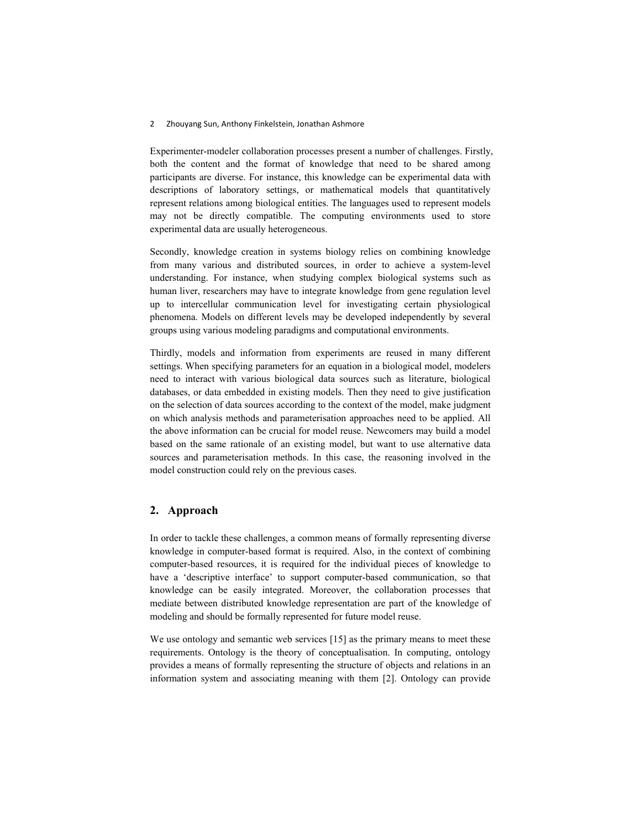Experimenter-modeler collaboration processes present a number of challenges. Firstly, both the content and the format of knowledge that need to be shared among participants are diverse. For instance, this knowledge can be experimental data with descriptions of laboratory settings, or mathematical models that quantitatively represent relations among biological entities. The languages used to represent models may not be directly compatible. The computing environments used to store experimental data are usually heterogeneous.

Secondly, knowledge creation in systems biology relies on combining knowledge from many various and distributed sources, in order to achieve a system-level understanding. For instance, when studying complex biological systems such as human liver, researchers may have to integrate knowledge from gene regulation level up to intercellular communication level for investigating certain physiological phenomena. Models on different levels may be developed independently by several groups using various modeling paradigms and computational environments.

Thirdly, models and information from experiments are reused in many different settings. When specifying parameters for an equation in a biological model, modelers need to interact with various biological data sources such as literature, biological databases, or data embedded in existing models. Then they need to give justification on the selection of data sources according to the context of the model, make judgment on which analysis methods and parameterisation approaches need to be applied. All the above information can be crucial for model reuse. Newcomers may build a model based on the same rationale of an existing model, but want to use alternative data sources and parameterisation methods. In this case, the reasoning involved in the model construction could rely on the previous cases.

### **2. Approach**

In order to tackle these challenges, a common means of formally representing diverse knowledge in computer-based format is required. Also, in the context of combining computer-based resources, it is required for the individual pieces of knowledge to have a 'descriptive interface' to support computer-based communication, so that knowledge can be easily integrated. Moreover, the collaboration processes that mediate between distributed knowledge representation are part of the knowledge of modeling and should be formally represented for future model reuse.

We use ontology and semantic web services [15] as the primary means to meet these requirements. Ontology is the theory of conceptualisation. In computing, ontology provides a means of formally representing the structure of objects and relations in an information system and associating meaning with them [2]. Ontology can provide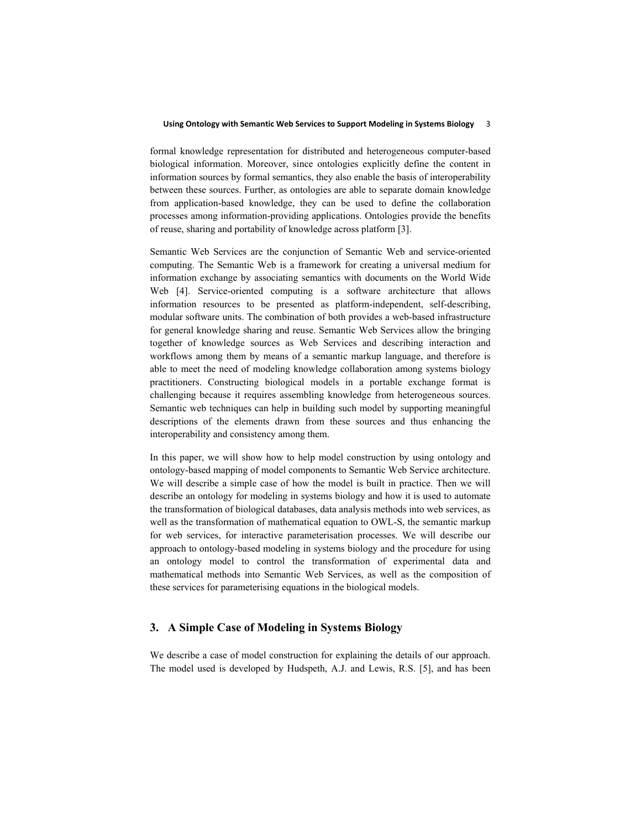formal knowledge representation for distributed and heterogeneous computer-based biological information. Moreover, since ontologies explicitly define the content in information sources by formal semantics, they also enable the basis of interoperability between these sources. Further, as ontologies are able to separate domain knowledge from application-based knowledge, they can be used to define the collaboration processes among information-providing applications. Ontologies provide the benefits of reuse, sharing and portability of knowledge across platform [3].

Semantic Web Services are the conjunction of Semantic Web and service-oriented computing. The Semantic Web is a framework for creating a universal medium for information exchange by associating semantics with documents on the World Wide Web [4]. Service-oriented computing is a software architecture that allows information resources to be presented as platform-independent, self-describing, modular software units. The combination of both provides a web-based infrastructure for general knowledge sharing and reuse. Semantic Web Services allow the bringing together of knowledge sources as Web Services and describing interaction and workflows among them by means of a semantic markup language, and therefore is able to meet the need of modeling knowledge collaboration among systems biology practitioners. Constructing biological models in a portable exchange format is challenging because it requires assembling knowledge from heterogeneous sources. Semantic web techniques can help in building such model by supporting meaningful descriptions of the elements drawn from these sources and thus enhancing the interoperability and consistency among them.

In this paper, we will show how to help model construction by using ontology and ontology-based mapping of model components to Semantic Web Service architecture. We will describe a simple case of how the model is built in practice. Then we will describe an ontology for modeling in systems biology and how it is used to automate the transformation of biological databases, data analysis methods into web services, as well as the transformation of mathematical equation to OWL-S, the semantic markup for web services, for interactive parameterisation processes. We will describe our approach to ontology-based modeling in systems biology and the procedure for using an ontology model to control the transformation of experimental data and mathematical methods into Semantic Web Services, as well as the composition of these services for parameterising equations in the biological models.

## **3. A Simple Case of Modeling in Systems Biology**

We describe a case of model construction for explaining the details of our approach. The model used is developed by Hudspeth, A.J. and Lewis, R.S. [5], and has been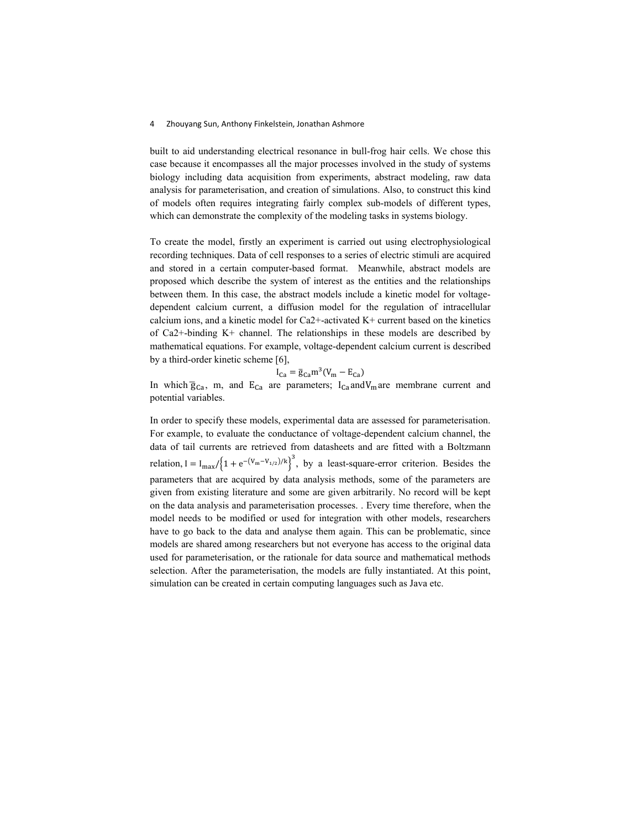built to aid understanding electrical resonance in bull-frog hair cells. We chose this case because it encompasses all the major processes involved in the study of systems biology including data acquisition from experiments, abstract modeling, raw data analysis for parameterisation, and creation of simulations. Also, to construct this kind of models often requires integrating fairly complex sub-models of different types, which can demonstrate the complexity of the modeling tasks in systems biology.

To create the model, firstly an experiment is carried out using electrophysiological recording techniques. Data of cell responses to a series of electric stimuli are acquired and stored in a certain computer-based format. Meanwhile, abstract models are proposed which describe the system of interest as the entities and the relationships between them. In this case, the abstract models include a kinetic model for voltagedependent calcium current, a diffusion model for the regulation of intracellular calcium ions, and a kinetic model for Ca2+-activated K+ current based on the kinetics of Ca2+-binding K+ channel. The relationships in these models are described by mathematical equations. For example, voltage-dependent calcium current is described by a third-order kinetic scheme [6],

### $I_{Ca} = \bar{g}_{Ca} m^3 (V_m - E_{Ca})$

In which  $\overline{g}_{Ca}$ , m, and  $E_{Ca}$  are parameters;  $I_{Ca}$  and  $V_{m}$  are membrane current and potential variables.

In order to specify these models, experimental data are assessed for parameterisation. For example, to evaluate the conductance of voltage-dependent calcium channel, the data of tail currents are retrieved from datasheets and are fitted with a Boltzmann relation,  $I = I_{max}/\{1 + e^{-(V_m - V_{1/2})/k}\}^3$ , by a least-square-error criterion. Besides the parameters that are acquired by data analysis methods, some of the parameters are given from existing literature and some are given arbitrarily. No record will be kept on the data analysis and parameterisation processes. . Every time therefore, when the model needs to be modified or used for integration with other models, researchers have to go back to the data and analyse them again. This can be problematic, since models are shared among researchers but not everyone has access to the original data used for parameterisation, or the rationale for data source and mathematical methods selection. After the parameterisation, the models are fully instantiated. At this point, simulation can be created in certain computing languages such as Java etc.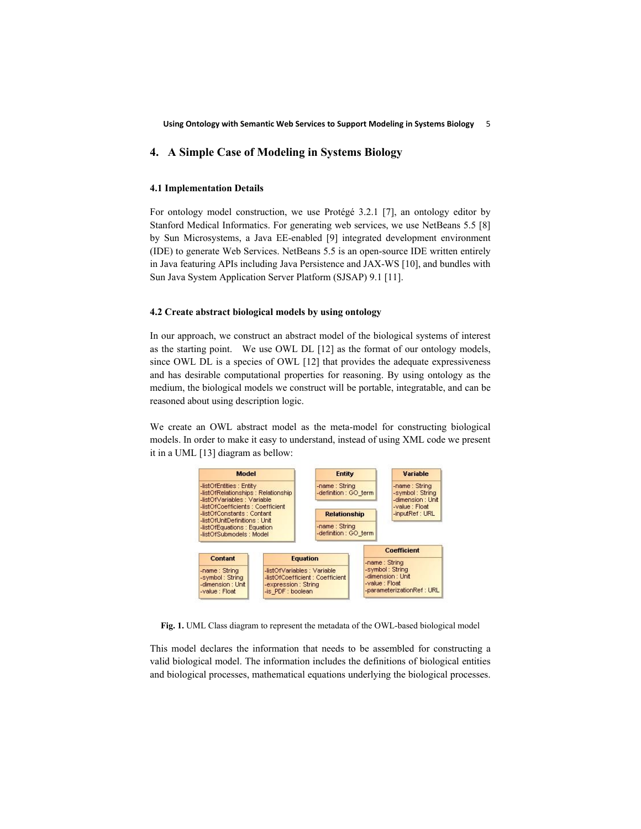## **4. A Simple Case of Modeling in Systems Biology**

### **4.1 Implementation Details**

For ontology model construction, we use Protégé 3.2.1 [7], an ontology editor by Stanford Medical Informatics. For generating web services, we use NetBeans 5.5 [8] by Sun Microsystems, a Java EE-enabled [9] integrated development environment (IDE) to generate Web Services. NetBeans 5.5 is an open-source IDE written entirely in Java featuring APIs including Java Persistence and JAX-WS [10], and bundles with Sun Java System Application Server Platform (SJSAP) 9.1 [11].

### **4.2 Create abstract biological models by using ontology**

In our approach, we construct an abstract model of the biological systems of interest as the starting point. We use OWL DL [12] as the format of our ontology models, since OWL DL is a species of OWL [12] that provides the adequate expressiveness and has desirable computational properties for reasoning. By using ontology as the medium, the biological models we construct will be portable, integratable, and can be reasoned about using description logic.

We create an OWL abstract model as the meta-model for constructing biological models. In order to make it easy to understand, instead of using XML code we present it in a UML [13] diagram as bellow:



**Fig. 1.** UML Class diagram to represent the metadata of the OWL-based biological model

This model declares the information that needs to be assembled for constructing a valid biological model. The information includes the definitions of biological entities and biological processes, mathematical equations underlying the biological processes.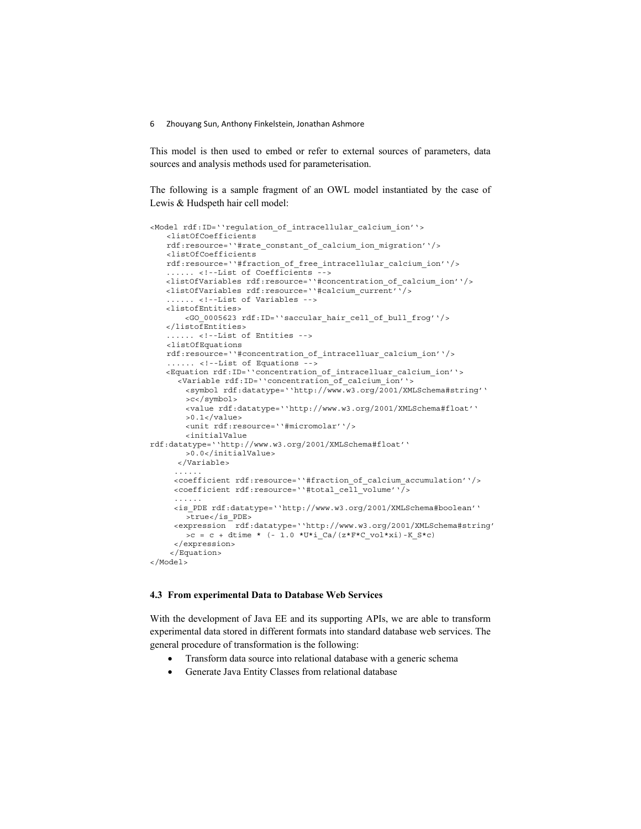This model is then used to embed or refer to external sources of parameters, data sources and analysis methods used for parameterisation.

The following is a sample fragment of an OWL model instantiated by the case of Lewis & Hudspeth hair cell model:

```
<Model rdf:ID=''regulation_of_intracellular_calcium_ion''>
   <listOfCoefficients
   rdf:resource=''#rate_constant_of_calcium_ion_migration''/>
   <listOfCoefficients
   rdf:resource=''#fraction_of_free_intracellular_calcium_ion''/>
   ...... <!--List of Coefficients -->
   <listOfVariables rdf:resource=''#concentration_of_calcium_ion''/>
   <listOfVariables rdf:resource=''#calcium_current''/>
     ...... <!--List of Variables -->
   <listofEntities>
       <GO_0005623 rdf:ID=''saccular_hair_cell_of_bull_frog''/>
   </listofEntities>
   ...... <!--List of Entities -->
   <listOfEquations
   rdf:resource=''#concentration_of_intracelluar_calcium_ion''/>
    ..... <!--List of Equations -->
   <Equation rdf:ID=''concentration_of_intracelluar_calcium_ion''>
      <Variable rdf:ID=''concentration_of_calcium_ion''>
       <symbol rdf:datatype=''http://www.w3.org/2001/XMLSchema#string''
       >c</symbol>
       <value rdf:datatype=''http://www.w3.org/2001/XMLSchema#float''
       >0.1</value>
       <unit rdf:resource=''#micromolar''/>
       <initialValue
rdf:datatype=''http://www.w3.org/2001/XMLSchema#float''
       >0.0</initialValue>
      </Variable>
     ......
     <coefficient rdf:resource=''#fraction_of_calcium_accumulation''/>
     <coefficient rdf:resource=''#total_cell_volume''/>
     ......
     <is_PDE rdf:datatype=''http://www.w3.org/2001/XMLSchema#boolean''
       >true</is PDE>
     <expression rdf:datatype=''http://www.w3.org/2001/XMLSchema#string'
        \geq c = c + dtime * (- 1.0 *U*i Ca/(z*F*C vol*xi)-K S*c)
     </expression>
    </Equation>
</Model>
```
### **4.3 From experimental Data to Database Web Services**

With the development of Java EE and its supporting APIs, we are able to transform experimental data stored in different formats into standard database web services. The general procedure of transformation is the following:

- Transform data source into relational database with a generic schema
- Generate Java Entity Classes from relational database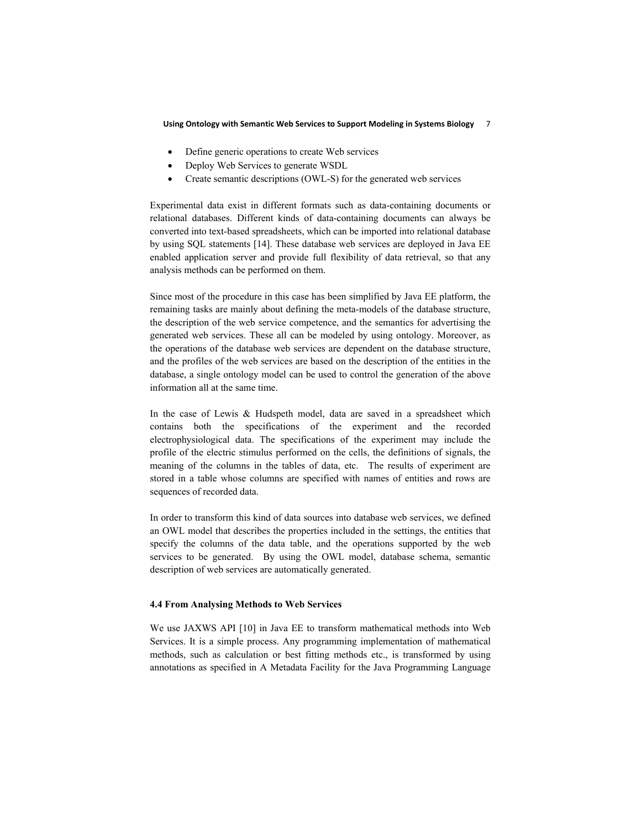- Define generic operations to create Web services
- ! Deploy Web Services to generate WSDL
- ! Create semantic descriptions (OWL-S) for the generated web services

Experimental data exist in different formats such as data-containing documents or relational databases. Different kinds of data-containing documents can always be converted into text-based spreadsheets, which can be imported into relational database by using SQL statements [14]. These database web services are deployed in Java EE enabled application server and provide full flexibility of data retrieval, so that any analysis methods can be performed on them.

Since most of the procedure in this case has been simplified by Java EE platform, the remaining tasks are mainly about defining the meta-models of the database structure, the description of the web service competence, and the semantics for advertising the generated web services. These all can be modeled by using ontology. Moreover, as the operations of the database web services are dependent on the database structure, and the profiles of the web services are based on the description of the entities in the database, a single ontology model can be used to control the generation of the above information all at the same time.

In the case of Lewis  $\&$  Hudspeth model, data are saved in a spreadsheet which contains both the specifications of the experiment and the recorded electrophysiological data. The specifications of the experiment may include the profile of the electric stimulus performed on the cells, the definitions of signals, the meaning of the columns in the tables of data, etc. The results of experiment are stored in a table whose columns are specified with names of entities and rows are sequences of recorded data.

In order to transform this kind of data sources into database web services, we defined an OWL model that describes the properties included in the settings, the entities that specify the columns of the data table, and the operations supported by the web services to be generated. By using the OWL model, database schema, semantic description of web services are automatically generated.

### **4.4 From Analysing Methods to Web Services**

We use JAXWS API [10] in Java EE to transform mathematical methods into Web Services. It is a simple process. Any programming implementation of mathematical methods, such as calculation or best fitting methods etc., is transformed by using annotations as specified in A Metadata Facility for the Java Programming Language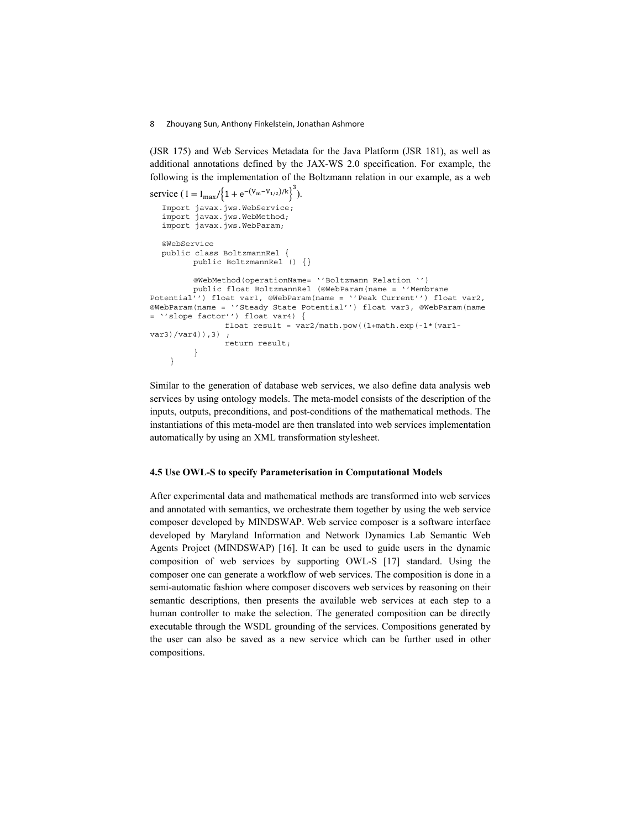(JSR 175) and Web Services Metadata for the Java Platform (JSR 181), as well as additional annotations defined by the JAX-WS 2.0 specification. For example, the following is the implementation of the Boltzmann relation in our example, as a web

```
service ( I = I_{max}/\{1 + e^{-(V_m - V_{1/2})/k}\}^3).
  Import javax.jws.WebService;
  import javax.jws.WebMethod;
  import javax.jws.WebParam;
  @WebService
  public class BoltzmannRel {
         public BoltzmannRel () {}
         @WebMethod(operationName= ''Boltzmann Relation '')
         public float BoltzmannRel (@WebParam(name = ''Membrane
Potential'') float var1, @WebParam(name = ''Peak Current'') float var2,
@WebParam(name = ''Steady State Potential'') float var3, @WebParam(name
= ''slope factor'') float var4) {
                float result = var2/math.pow((1+math.exp(-1*(var1-
var3)/var4)),3) ;
                return result;
         }
    }
```
Similar to the generation of database web services, we also define data analysis web services by using ontology models. The meta-model consists of the description of the inputs, outputs, preconditions, and post-conditions of the mathematical methods. The instantiations of this meta-model are then translated into web services implementation automatically by using an XML transformation stylesheet.

### **4.5 Use OWL-S to specify Parameterisation in Computational Models**

After experimental data and mathematical methods are transformed into web services and annotated with semantics, we orchestrate them together by using the web service composer developed by MINDSWAP. Web service composer is a software interface developed by Maryland Information and Network Dynamics Lab Semantic Web Agents Project (MINDSWAP) [16]. It can be used to guide users in the dynamic composition of web services by supporting OWL-S [17] standard. Using the composer one can generate a workflow of web services. The composition is done in a semi-automatic fashion where composer discovers web services by reasoning on their semantic descriptions, then presents the available web services at each step to a human controller to make the selection. The generated composition can be directly executable through the WSDL grounding of the services. Compositions generated by the user can also be saved as a new service which can be further used in other compositions.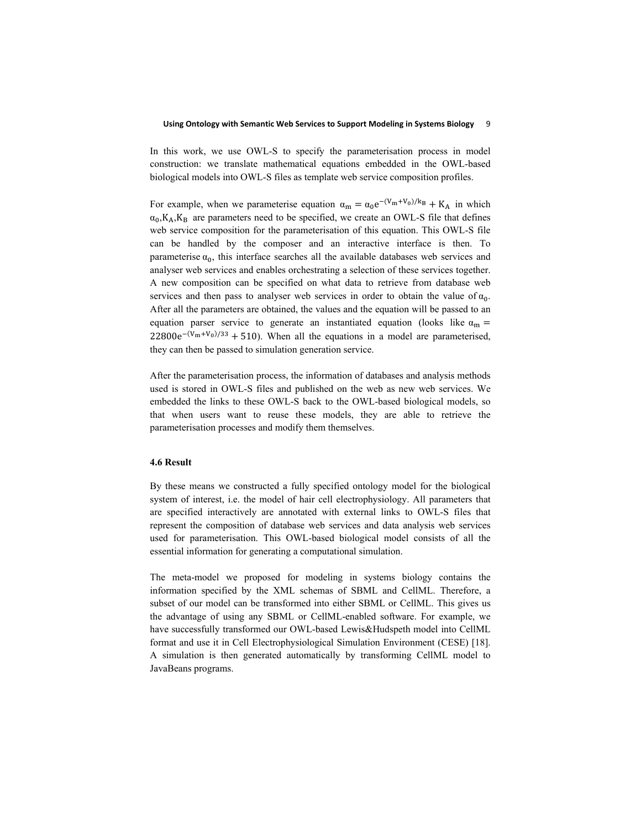In this work, we use OWL-S to specify the parameterisation process in model construction: we translate mathematical equations embedded in the OWL-based biological models into OWL-S files as template web service composition profiles.

For example, when we parameterise equation  $\alpha_m = \alpha_0 e^{-(V_m + V_0)/k_B} + K_A$  in which  $\alpha_0$ , $K_A$ , $K_B$  are parameters need to be specified, we create an OWL-S file that defines web service composition for the parameterisation of this equation. This OWL-S file can be handled by the composer and an interactive interface is then. To parameterise  $\alpha_0$ , this interface searches all the available databases web services and analyser web services and enables orchestrating a selection of these services together. A new composition can be specified on what data to retrieve from database web services and then pass to analyser web services in order to obtain the value of  $\alpha_0$ . After all the parameters are obtained, the values and the equation will be passed to an equation parser service to generate an instantiated equation (looks like  $\alpha_m =$  $22800e^{-(V_m+V_0)/33} + 510$ . When all the equations in a model are parameterised, they can then be passed to simulation generation service.

After the parameterisation process, the information of databases and analysis methods used is stored in OWL-S files and published on the web as new web services. We embedded the links to these OWL-S back to the OWL-based biological models, so that when users want to reuse these models, they are able to retrieve the parameterisation processes and modify them themselves.

### **4.6 Result**

By these means we constructed a fully specified ontology model for the biological system of interest, i.e. the model of hair cell electrophysiology. All parameters that are specified interactively are annotated with external links to OWL-S files that represent the composition of database web services and data analysis web services used for parameterisation. This OWL-based biological model consists of all the essential information for generating a computational simulation.

The meta-model we proposed for modeling in systems biology contains the information specified by the XML schemas of SBML and CellML. Therefore, a subset of our model can be transformed into either SBML or CellML. This gives us the advantage of using any SBML or CellML-enabled software. For example, we have successfully transformed our OWL-based Lewis&Hudspeth model into CellML format and use it in Cell Electrophysiological Simulation Environment (CESE) [18]. A simulation is then generated automatically by transforming CellML model to JavaBeans programs.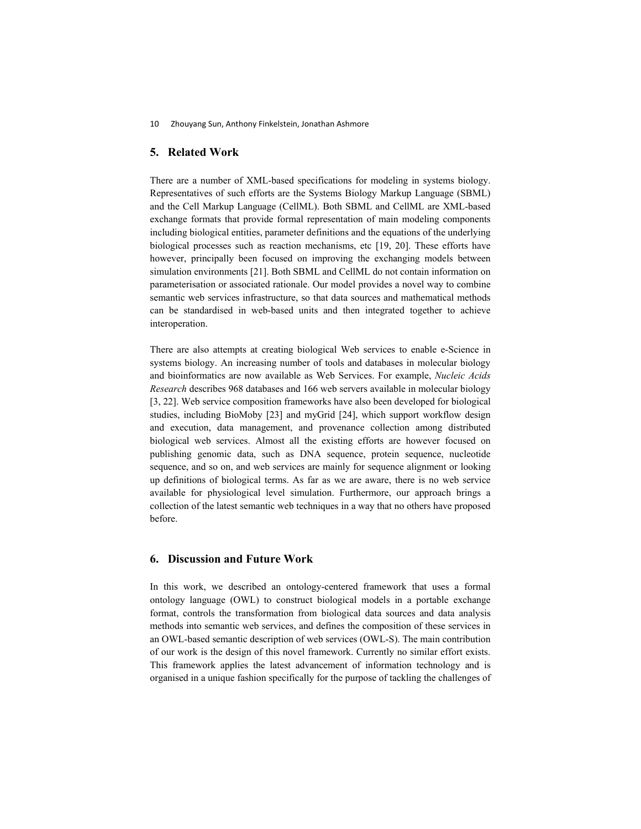## **5. Related Work**

There are a number of XML-based specifications for modeling in systems biology. Representatives of such efforts are the Systems Biology Markup Language (SBML) and the Cell Markup Language (CellML). Both SBML and CellML are XML-based exchange formats that provide formal representation of main modeling components including biological entities, parameter definitions and the equations of the underlying biological processes such as reaction mechanisms, etc [19, 20]. These efforts have however, principally been focused on improving the exchanging models between simulation environments [21]. Both SBML and CellML do not contain information on parameterisation or associated rationale. Our model provides a novel way to combine semantic web services infrastructure, so that data sources and mathematical methods can be standardised in web-based units and then integrated together to achieve interoperation.

There are also attempts at creating biological Web services to enable e-Science in systems biology. An increasing number of tools and databases in molecular biology and bioinformatics are now available as Web Services. For example, *Nucleic Acids Research* describes 968 databases and 166 web servers available in molecular biology [3, 22]. Web service composition frameworks have also been developed for biological studies, including BioMoby [23] and myGrid [24], which support workflow design and execution, data management, and provenance collection among distributed biological web services. Almost all the existing efforts are however focused on publishing genomic data, such as DNA sequence, protein sequence, nucleotide sequence, and so on, and web services are mainly for sequence alignment or looking up definitions of biological terms. As far as we are aware, there is no web service available for physiological level simulation. Furthermore, our approach brings a collection of the latest semantic web techniques in a way that no others have proposed before.

### **6. Discussion and Future Work**

In this work, we described an ontology-centered framework that uses a formal ontology language (OWL) to construct biological models in a portable exchange format, controls the transformation from biological data sources and data analysis methods into semantic web services, and defines the composition of these services in an OWL-based semantic description of web services (OWL-S). The main contribution of our work is the design of this novel framework. Currently no similar effort exists. This framework applies the latest advancement of information technology and is organised in a unique fashion specifically for the purpose of tackling the challenges of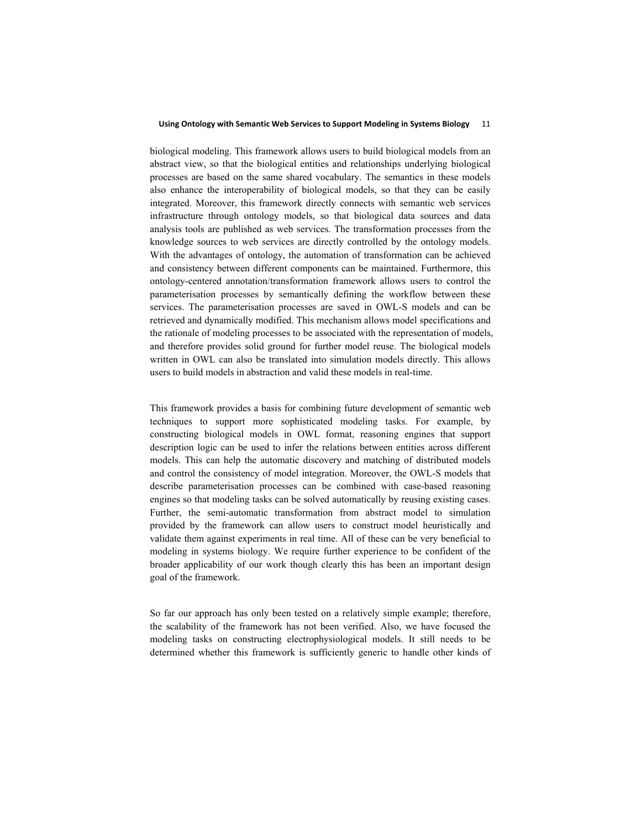biological modeling. This framework allows users to build biological models from an abstract view, so that the biological entities and relationships underlying biological processes are based on the same shared vocabulary. The semantics in these models also enhance the interoperability of biological models, so that they can be easily integrated. Moreover, this framework directly connects with semantic web services infrastructure through ontology models, so that biological data sources and data analysis tools are published as web services. The transformation processes from the knowledge sources to web services are directly controlled by the ontology models. With the advantages of ontology, the automation of transformation can be achieved and consistency between different components can be maintained. Furthermore, this ontology-centered annotation/transformation framework allows users to control the parameterisation processes by semantically defining the workflow between these services. The parameterisation processes are saved in OWL-S models and can be retrieved and dynamically modified. This mechanism allows model specifications and the rationale of modeling processes to be associated with the representation of models, and therefore provides solid ground for further model reuse. The biological models written in OWL can also be translated into simulation models directly. This allows users to build models in abstraction and valid these models in real-time.

This framework provides a basis for combining future development of semantic web techniques to support more sophisticated modeling tasks. For example, by constructing biological models in OWL format, reasoning engines that support description logic can be used to infer the relations between entities across different models. This can help the automatic discovery and matching of distributed models and control the consistency of model integration. Moreover, the OWL-S models that describe parameterisation processes can be combined with case-based reasoning engines so that modeling tasks can be solved automatically by reusing existing cases. Further, the semi-automatic transformation from abstract model to simulation provided by the framework can allow users to construct model heuristically and validate them against experiments in real time. All of these can be very beneficial to modeling in systems biology. We require further experience to be confident of the broader applicability of our work though clearly this has been an important design goal of the framework.

So far our approach has only been tested on a relatively simple example; therefore, the scalability of the framework has not been verified. Also, we have focused the modeling tasks on constructing electrophysiological models. It still needs to be determined whether this framework is sufficiently generic to handle other kinds of